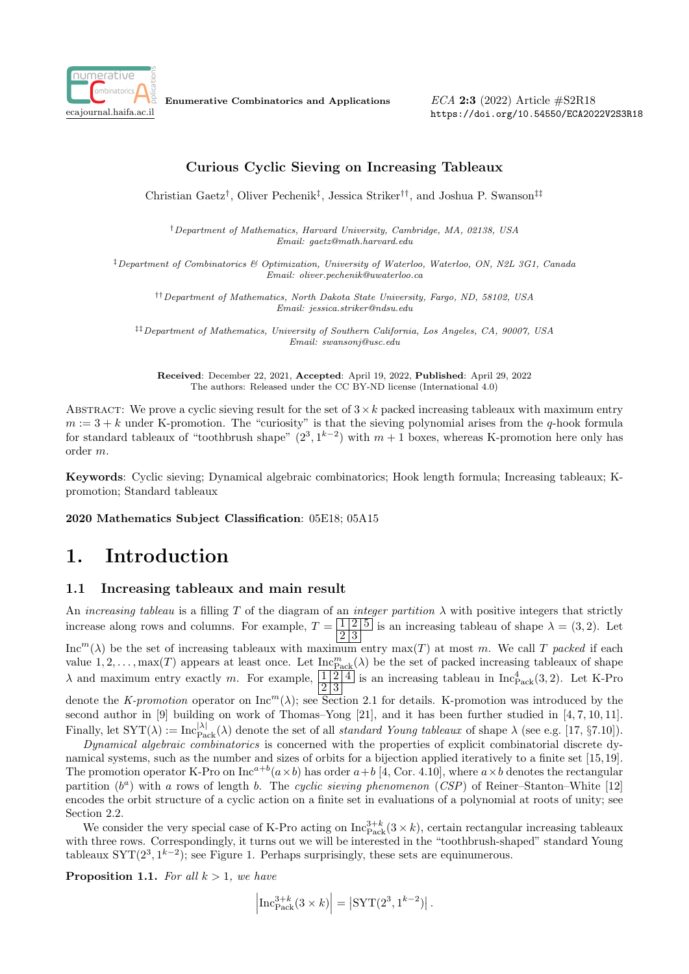

Enumerative Combinatorics and Applications

ECA 2:3 (2022) Article #S2R18 https://doi.org/10.54550/ECA2022V2S3R18

## Curious Cyclic Sieving on Increasing Tableaux

Christian Gaetz† , Oliver Pechenik‡ , Jessica Striker††, and Joshua P. Swanson‡‡

†Department of Mathematics, Harvard University, Cambridge, MA, 02138, USA Email: gaetz@math.harvard.edu

‡Department of Combinatorics & Optimization, University of Waterloo, Waterloo, ON, N2L 3G1, Canada Email: oliver.pechenik@uwaterloo.ca

††Department of Mathematics, North Dakota State University, Fargo, ND, 58102, USA Email: jessica.striker@ndsu.edu

‡‡Department of Mathematics, University of Southern California, Los Angeles, CA, 90007, USA Email: swansonj@usc.edu

Received: December 22, 2021, Accepted: April 19, 2022, Published: April 29, 2022 The authors: Released under the CC BY-ND license (International 4.0)

ABSTRACT: We prove a cyclic sieving result for the set of  $3 \times k$  packed increasing tableaux with maximum entry  $m := 3 + k$  under K-promotion. The "curiosity" is that the sieving polynomial arises from the q-hook formula for standard tableaux of "toothbrush shape"  $(2^3, 1^{k-2})$  with  $m + 1$  boxes, whereas K-promotion here only has order m.

Keywords: Cyclic sieving; Dynamical algebraic combinatorics; Hook length formula; Increasing tableaux; Kpromotion; Standard tableaux

2020 Mathematics Subject Classification: 05E18; 05A15

# 1. Introduction

### 1.1 Increasing tableaux and main result

An increasing tableau is a filling T of the diagram of an integer partition  $\lambda$  with positive integers that strictly increase along rows and columns. For example,  $T = \sqrt{125}$  is an increasing tableau of shape  $\lambda = (3, 2)$ . Let 2 3  $Inc<sup>m</sup>(\lambda)$  be the set of increasing tableaux with maximum entry max(T) at most m. We call T packed if each value  $1, 2, \ldots, \max(T)$  appears at least once. Let  $\text{Inc}_{\text{Pack}}^m(\lambda)$  be the set of packed increasing tableaux of shape  $\lambda$  and maximum entry exactly m. For example,  $\frac{1}{2}$  is an increasing tableau in Inc $_{\text{Pack}}^4(3, 2)$ . Let K-Pro denote the K-promotion operator on  $\text{Inc}^m(\lambda)$ ; see Section 2.1 for details. K-promotion was introduced by the second author in [9] building on work of Thomas–Yong [21], and it has been further studied in [4, 7, 10, 11]. Finally, let  $SYT(\lambda) := \text{Inc}_{\text{Pack}}^{|\lambda|}(\lambda)$  denote the set of all *standard Young tableaux* of shape  $\lambda$  (see e.g. [17, §7.10]).

Dynamical algebraic combinatorics is concerned with the properties of explicit combinatorial discrete dynamical systems, such as the number and sizes of orbits for a bijection applied iteratively to a finite set [15, 19]. The promotion operator K-Pro on  $\text{Inc}^{a+b}(a \times b)$  has order  $a+b$  [4, Cor. 4.10], where  $a \times b$  denotes the rectangular partition  $(b^a)$  with a rows of length b. The cyclic sieving phenomenon (CSP) of Reiner–Stanton–White [12] encodes the orbit structure of a cyclic action on a finite set in evaluations of a polynomial at roots of unity; see Section 2.2.

We consider the very special case of K-Pro acting on  $\text{Inc}_{\text{Pack}}^{3+k}(3 \times k)$ , certain rectangular increasing tableaux with three rows. Correspondingly, it turns out we will be interested in the "toothbrush-shaped" standard Young tableaux  $SYT(2^3, 1^{k-2})$ ; see Figure 1. Perhaps surprisingly, these sets are equinumerous.

**Proposition 1.1.** For all  $k > 1$ , we have

$$
\left|\operatorname{Inc}_{\operatorname{Pack}}^{3+k}(3 \times k)\right| = \left|\operatorname{SYT}(2^3, 1^{k-2})\right|.
$$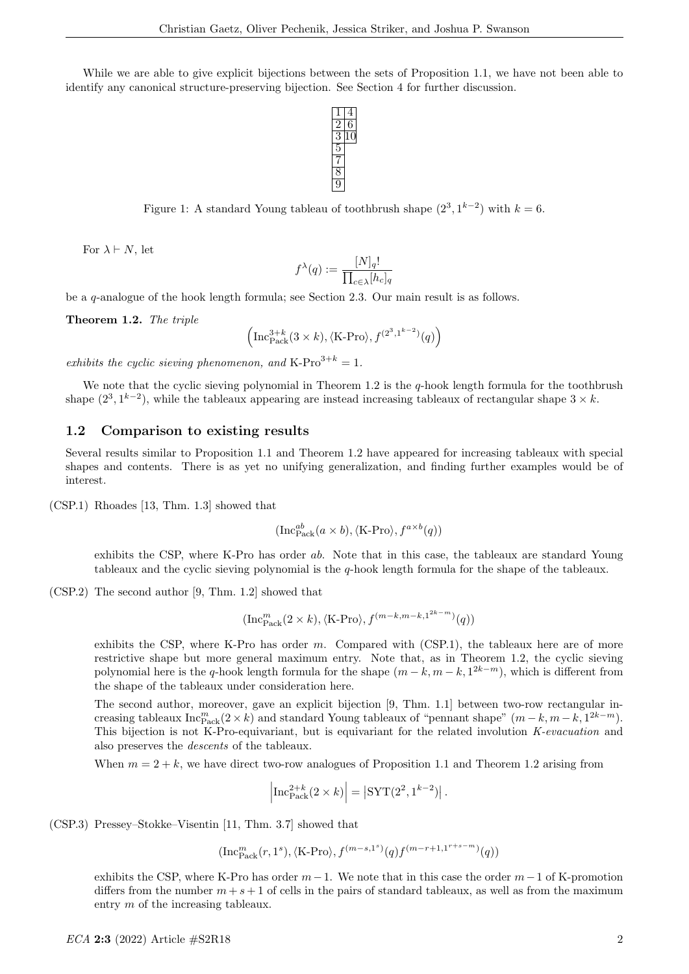While we are able to give explicit bijections between the sets of Proposition 1.1, we have not been able to identify any canonical structure-preserving bijection. See Section 4 for further discussion.



Figure 1: A standard Young tableau of toothbrush shape  $(2^3, 1^{k-2})$  with  $k = 6$ .

For  $\lambda \vdash N$ , let

$$
f^{\lambda}(q) := \frac{[N]_q!}{\prod_{c \in \lambda} [h_c]_q}
$$

be a q-analogue of the hook length formula; see Section 2.3. Our main result is as follows.

Theorem 1.2. The triple

$$
\left(\operatorname{Inc}_{\operatorname{Pack}}^{3+k}(3\times k), \langle \operatorname{K-Pro} \rangle, f^{(2^3,1^{k-2})}(q)\right)
$$

exhibits the cyclic sieving phenomenon, and K-Pro<sup>3+k</sup> = 1.

We note that the cyclic sieving polynomial in Theorem 1.2 is the  $q$ -hook length formula for the toothbrush shape  $(2^3, 1^{k-2})$ , while the tableaux appearing are instead increasing tableaux of rectangular shape  $3 \times k$ .

#### 1.2 Comparison to existing results

Several results similar to Proposition 1.1 and Theorem 1.2 have appeared for increasing tableaux with special shapes and contents. There is as yet no unifying generalization, and finding further examples would be of interest.

(CSP.1) Rhoades [13, Thm. 1.3] showed that

$$
(\text{Inc}_{\text{Pack}}^{ab}(a \times b), \langle \text{K-Pro} \rangle, f^{a \times b}(q))
$$

exhibits the CSP, where K-Pro has order ab. Note that in this case, the tableaux are standard Young tableaux and the cyclic sieving polynomial is the q-hook length formula for the shape of the tableaux.

(CSP.2) The second author [9, Thm. 1.2] showed that

$$
(\text{Inc}_{\text{Pack}}^m(2 \times k), \langle \text{K-Pro} \rangle, f^{(m-k, m-k, 1^{2k-m})}(q))
$$

exhibits the CSP, where K-Pro has order  $m$ . Compared with (CSP.1), the tableaux here are of more restrictive shape but more general maximum entry. Note that, as in Theorem 1.2, the cyclic sieving polynomial here is the q-hook length formula for the shape  $(m - k, m - k, 1^{2k-m})$ , which is different from the shape of the tableaux under consideration here.

The second author, moreover, gave an explicit bijection [9, Thm. 1.1] between two-row rectangular increasing tableaux  $\text{Inc}_{\text{Pack}}^m(2 \times k)$  and standard Young tableaux of "pennant shape"  $(m - k, m - k, 1^{2k-m})$ . This bijection is not K-Pro-equivariant, but is equivariant for the related involution K-evacuation and also preserves the descents of the tableaux.

When  $m = 2 + k$ , we have direct two-row analogues of Proposition 1.1 and Theorem 1.2 arising from

$$
\left|\operatorname{Inc}_{\operatorname{Pack}}^{2+k}(2 \times k)\right| = \left|\operatorname{SYT}(2^2, 1^{k-2})\right|.
$$

(CSP.3) Pressey–Stokke–Visentin [11, Thm. 3.7] showed that

$$
(\mathsf{Inc}_\mathsf{Pack}^m(r,1^s), \langle \mathsf{K}\text{-}\mathsf{Pro} \rangle, f^{(m-s,1^s)}(q) f^{(m-r+1,1^{r+s-m})}(q))
$$

exhibits the CSP, where K-Pro has order  $m-1$ . We note that in this case the order  $m-1$  of K-promotion differs from the number  $m + s + 1$  of cells in the pairs of standard tableaux, as well as from the maximum entry m of the increasing tableaux.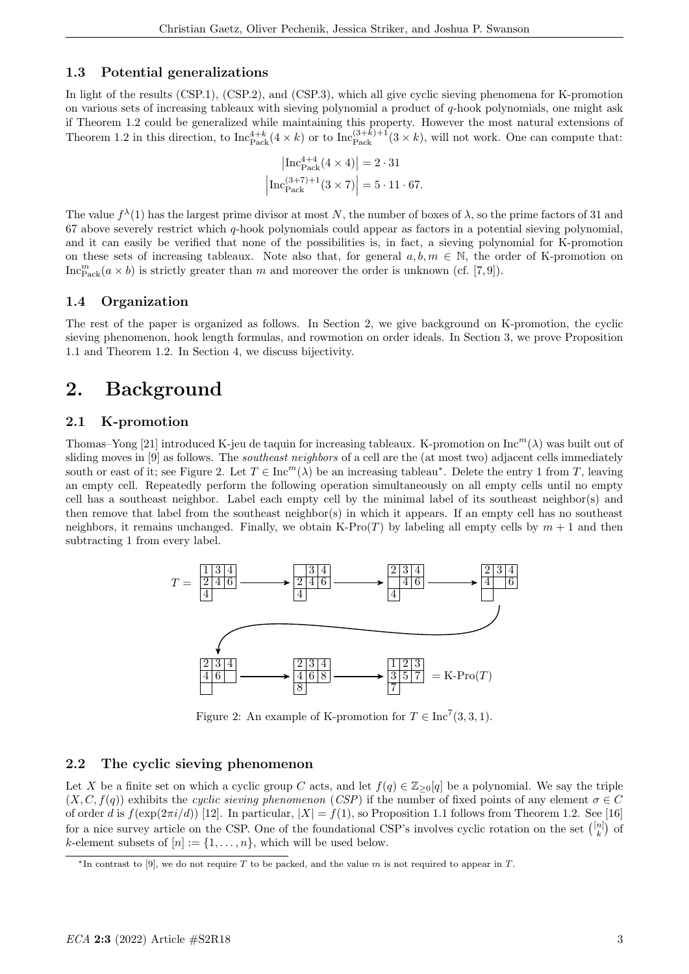### 1.3 Potential generalizations

In light of the results (CSP.1), (CSP.2), and (CSP.3), which all give cyclic sieving phenomena for K-promotion on various sets of increasing tableaux with sieving polynomial a product of q-hook polynomials, one might ask if Theorem 1.2 could be generalized while maintaining this property. However the most natural extensions of Theorem 1.2 in this direction, to  $\text{Inc}_{\text{Pack}}^{4+k}(4 \times k)$  or to  $\text{Inc}_{\text{Pack}}^{(3+k)+1}(3 \times k)$ , will not work. One can compute that:

$$
\left| \text{Inc}_{\text{Pack}}^{4+4} (4 \times 4) \right| = 2 \cdot 31
$$

$$
\left| \text{Inc}_{\text{Pack}}^{(3+7)+1} (3 \times 7) \right| = 5 \cdot 11 \cdot 67.
$$

The value  $f^{\lambda}(1)$  has the largest prime divisor at most N, the number of boxes of  $\lambda$ , so the prime factors of 31 and 67 above severely restrict which q-hook polynomials could appear as factors in a potential sieving polynomial, and it can easily be verified that none of the possibilities is, in fact, a sieving polynomial for K-promotion on these sets of increasing tableaux. Note also that, for general  $a, b, m \in \mathbb{N}$ , the order of K-promotion on Inc ${}_{\text{Pack}}^m(a \times b)$  is strictly greater than m and moreover the order is unknown (cf. [7,9]).

### 1.4 Organization

The rest of the paper is organized as follows. In Section 2, we give background on K-promotion, the cyclic sieving phenomenon, hook length formulas, and rowmotion on order ideals. In Section 3, we prove Proposition 1.1 and Theorem 1.2. In Section 4, we discuss bijectivity.

## 2. Background

#### 2.1 K-promotion

Thomas–Yong [21] introduced K-jeu de taquin for increasing tableaux. K-promotion on Inc $^m(\lambda)$  was built out of sliding moves in [9] as follows. The *southeast neighbors* of a cell are the (at most two) adjacent cells immediately south or east of it; see Figure 2. Let  $T \in \text{Inc}^m(\lambda)$  be an increasing tableau\*. Delete the entry 1 from T, leaving an empty cell. Repeatedly perform the following operation simultaneously on all empty cells until no empty cell has a southeast neighbor. Label each empty cell by the minimal label of its southeast neighbor(s) and then remove that label from the southeast neighbor(s) in which it appears. If an empty cell has no southeast neighbors, it remains unchanged. Finally, we obtain K-Pro $(T)$  by labeling all empty cells by  $m + 1$  and then subtracting 1 from every label.



Figure 2: An example of K-promotion for  $T \in \text{Inc}^7(3,3,1)$ .

#### 2.2 The cyclic sieving phenomenon

Let X be a finite set on which a cyclic group C acts, and let  $f(q) \in \mathbb{Z}_{\geq 0}[q]$  be a polynomial. We say the triple  $(X, C, f(q))$  exhibits the cyclic sieving phenomenon (CSP) if the number of fixed points of any element  $\sigma \in C$ of order d is  $f(\exp(2\pi i/d))$  [12]. In particular,  $|X| = f(1)$ , so Proposition 1.1 follows from Theorem 1.2. See [16] for a nice survey article on the CSP. One of the foundational CSP's involves cyclic rotation on the set  $\binom{[n]}{k}$  of k-element subsets of  $[n] := \{1, \ldots, n\}$ , which will be used below.

 $*$ In contrast to [9], we do not require T to be packed, and the value m is not required to appear in T.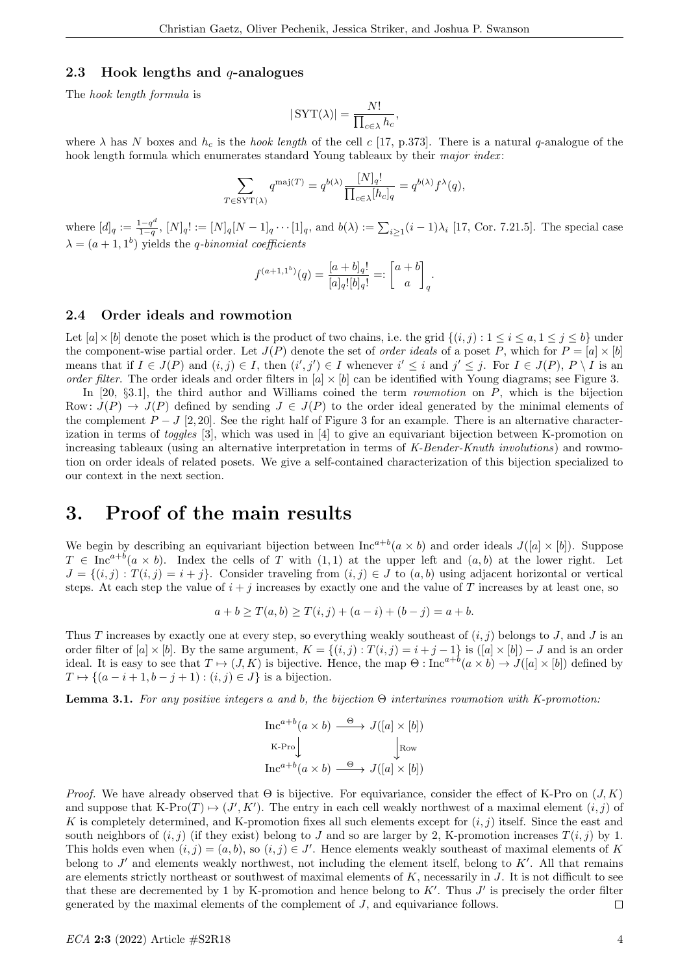### 2.3 Hook lengths and  $q$ -analogues

The hook length formula is

$$
|\,\mathrm{SYT}(\lambda)| = \frac{N!}{\prod_{c \in \lambda} h_c},
$$

where  $\lambda$  has N boxes and  $h_c$  is the *hook length* of the cell c [17, p.373]. There is a natural q-analogue of the hook length formula which enumerates standard Young tableaux by their major index:

$$
\sum_{T \in \text{SYT}(\lambda)} q^{\text{maj}(T)} = q^{b(\lambda)} \frac{[N]_q!}{\prod_{c \in \lambda} [h_c]_q} = q^{b(\lambda)} f^{\lambda}(q),
$$

where  $[d]_q := \frac{1-q^d}{1-q}$  $\frac{1-q^2}{1-q}$ ,  $[N]_q! := [N]_q[N-1]_q \cdots [1]_q$ , and  $b(\lambda) := \sum_{i \geq 1} (i-1)\lambda_i$  [17, Cor. 7.21.5]. The special case  $\lambda = (a+1, 1^b)$  yields the *q*-binomial coefficients

$$
f^{(a+1,1^b)}(q) = \frac{[a+b]_q!}{[a]_q![b]_q!} =: \begin{bmatrix} a+b \\ a \end{bmatrix}_q.
$$

#### 2.4 Order ideals and rowmotion

Let  $[a] \times [b]$  denote the poset which is the product of two chains, i.e. the grid  $\{(i, j) : 1 \le i \le a, 1 \le j \le b\}$  under the component-wise partial order. Let  $J(P)$  denote the set of *order ideals* of a poset P, which for  $P = [a] \times [b]$ means that if  $I \in J(P)$  and  $(i, j) \in I$ , then  $(i', j') \in I$  whenever  $i' \leq i$  and  $j' \leq j$ . For  $I \in J(P)$ ,  $P \setminus I$  is an order filter. The order ideals and order filters in  $[a] \times [b]$  can be identified with Young diagrams; see Figure 3.

In [20,  $\S 3.1$ ], the third author and Williams coined the term *rowmotion* on P, which is the bijection Row:  $J(P) \rightarrow J(P)$  defined by sending  $J \in J(P)$  to the order ideal generated by the minimal elements of the complement  $P - J$  [2,20]. See the right half of Figure 3 for an example. There is an alternative characterization in terms of toggles [3], which was used in [4] to give an equivariant bijection between K-promotion on increasing tableaux (using an alternative interpretation in terms of K-Bender-Knuth involutions) and rowmotion on order ideals of related posets. We give a self-contained characterization of this bijection specialized to our context in the next section.

## 3. Proof of the main results

We begin by describing an equivariant bijection between  $\text{Inc}^{a+b}(a \times b)$  and order ideals  $J([a] \times [b])$ . Suppose  $T \in \text{Inc}^{a+b}(a \times b)$ . Index the cells of T with  $(1,1)$  at the upper left and  $(a, b)$  at the lower right. Let  $J = \{(i, j) : T(i, j) = i + j\}$ . Consider traveling from  $(i, j) \in J$  to  $(a, b)$  using adjacent horizontal or vertical steps. At each step the value of  $i + j$  increases by exactly one and the value of T increases by at least one, so

$$
a + b \ge T(a, b) \ge T(i, j) + (a - i) + (b - j) = a + b.
$$

Thus T increases by exactly one at every step, so everything weakly southeast of  $(i, j)$  belongs to J, and J is an order filter of  $[a] \times [b]$ . By the same argument,  $K = \{(i, j) : T(i, j) = i + j - 1\}$  is  $([a] \times [b]) - J$  and is an order ideal. It is easy to see that  $T \mapsto (J, K)$  is bijective. Hence, the map  $\Theta : \text{Inc}^{a+b}(a \times b) \to J([a] \times [b])$  defined by  $T \mapsto \{(a-i+1,b-j+1) : (i,j) \in J\}$  is a bijection.

**Lemma 3.1.** For any positive integers a and b, the bijection  $\Theta$  intertwines rowmotion with K-promotion:

$$
\begin{array}{ccc}\n\text{Inc}^{a+b}(a \times b) & \xrightarrow{\Theta} & J([a] \times [b]) \\
\text{k-Pro} & \downarrow^{\text{Row}} \\
\text{Inc}^{a+b}(a \times b) & \xrightarrow{\Theta} & J([a] \times [b])\n\end{array}
$$

*Proof.* We have already observed that  $\Theta$  is bijective. For equivariance, consider the effect of K-Pro on  $(J, K)$ and suppose that  $K\text{-Pro}(T) \mapsto (J', K')$ . The entry in each cell weakly northwest of a maximal element  $(i, j)$  of K is completely determined, and K-promotion fixes all such elements except for  $(i, j)$  itself. Since the east and south neighbors of  $(i, j)$  (if they exist) belong to J and so are larger by 2, K-promotion increases  $T(i, j)$  by 1. This holds even when  $(i, j) = (a, b)$ , so  $(i, j) \in J'$ . Hence elements weakly southeast of maximal elements of K belong to  $J'$  and elements weakly northwest, not including the element itself, belong to  $K'$ . All that remains are elements strictly northeast or southwest of maximal elements of  $K$ , necessarily in  $J$ . It is not difficult to see that these are decremented by 1 by K-promotion and hence belong to  $K'$ . Thus  $J'$  is precisely the order filter generated by the maximal elements of the complement of J, and equivariance follows.  $\Box$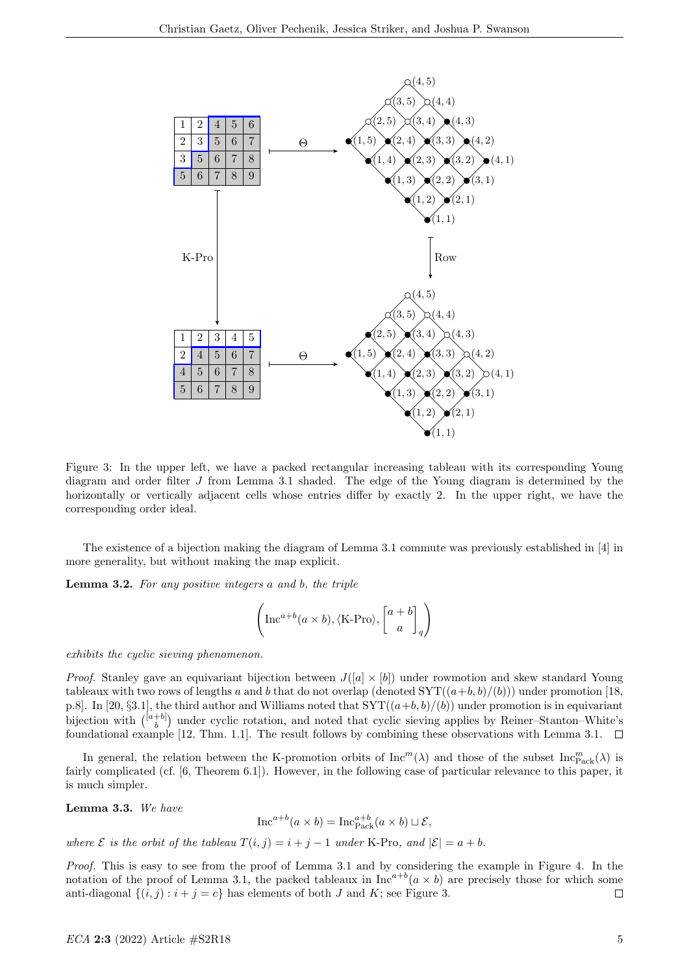

Figure 3: In the upper left, we have a packed rectangular increasing tableau with its corresponding Young diagram and order filter J from Lemma 3.1 shaded. The edge of the Young diagram is determined by the horizontally or vertically adjacent cells whose entries differ by exactly 2. In the upper right, we have the corresponding order ideal.

The existence of a bijection making the diagram of Lemma 3.1 commute was previously established in [4] in more generality, but without making the map explicit.

Lemma 3.2. For any positive integers a and b, the triple

$$
\left(\text{Inc}^{a+b}(a \times b), \langle \text{K-Pro} \rangle, \begin{bmatrix} a+b \\ a \end{bmatrix}_q\right)
$$

exhibits the cyclic sieving phenomenon.

*Proof.* Stanley gave an equivariant bijection between  $J([a] \times [b])$  under rowmotion and skew standard Young tableaux with two rows of lengths a and b that do not overlap (denoted  $SYT((a+b, b)/(b))$ ) under promotion [18, p.8. In [20, §3.1], the third author and Williams noted that  $SYT((a+b, b)/(b))$  under promotion is in equivariant bijection with  $\binom{[a+b]}{b}$  under cyclic rotation, and noted that cyclic sieving applies by Reiner–Stanton–White's foundational example [12, Thm. 1.1]. The result follows by combining these observations with Lemma 3.1.  $\Box$ 

In general, the relation between the K-promotion orbits of  $\text{Inc}^m(\lambda)$  and those of the subset  $\text{Inc}_{\text{Pack}}^m(\lambda)$  is fairly complicated (cf. [6, Theorem 6.1]). However, in the following case of particular relevance to this paper, it is much simpler.

Lemma 3.3. We have

 $\text{Inc}^{a+b}(a \times b) = \text{Inc}_{\text{Pack}}^{a+b}(a \times b) \sqcup \mathcal{E},$ 

where  $\mathcal E$  is the orbit of the tableau  $T(i, j) = i + j - 1$  under K-Pro, and  $|\mathcal E| = a + b$ .

Proof. This is easy to see from the proof of Lemma 3.1 and by considering the example in Figure 4. In the notation of the proof of Lemma 3.1, the packed tableaux in  $\text{Inc}^{a+b}(a \times b)$  are precisely those for which some anti-diagonal  $\{(i, j) : i + j = c\}$  has elements of both J and K; see Figure 3.  $\Box$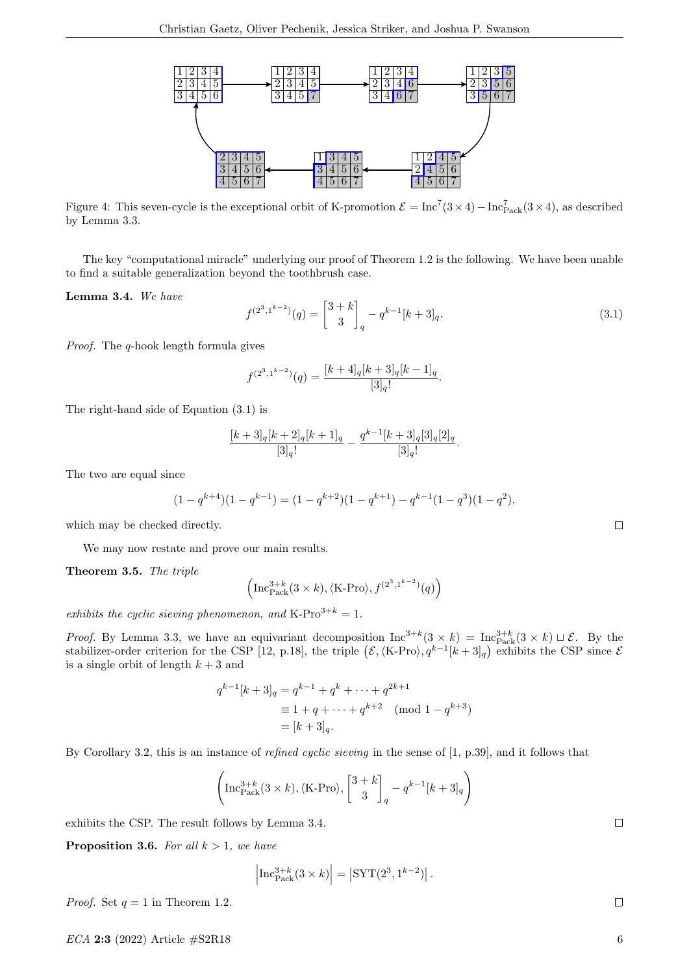

Figure 4: This seven-cycle is the exceptional orbit of K-promotion  $\mathcal{E} = \text{Inc}^7(3 \times 4) - \text{Inc}_{\text{Pack}}^7(3 \times 4)$ , as described by Lemma 3.3.

The key "computational miracle" underlying our proof of Theorem 1.2 is the following. We have been unable to find a suitable generalization beyond the toothbrush case.

Lemma 3.4. We have

$$
f^{(2^3,1^{k-2})}(q) = \begin{bmatrix} 3+k \\ 3 \end{bmatrix}_q - q^{k-1}[k+3]_q.
$$
 (3.1)

Proof. The q-hook length formula gives

$$
f^{(2^3,1^{k-2})}(q) = \frac{[k+4]_q[k+3]_q[k-1]_q}{[3]_q!}.
$$

The right-hand side of Equation (3.1) is

$$
\frac{[k+3]_q[k+2]_q[k+1]_q}{[3]_q!} - \frac{q^{k-1}[k+3]_q[3]_q[2]_q}{[3]_q!}.
$$

The two are equal since

$$
(1 - q^{k+4})(1 - q^{k-1}) = (1 - q^{k+2})(1 - q^{k+1}) - q^{k-1}(1 - q^3)(1 - q^2),
$$

which may be checked directly.

We may now restate and prove our main results.

Theorem 3.5. The triple

$$
\left(\operatorname{Inc}_{\operatorname{Pack}}^{3+k}(3 \times k), \langle \operatorname{K-Pro} \rangle, f^{(2^3,1^{k-2})}(q)\right)
$$

exhibits the cyclic sieving phenomenon, and K-Pro<sup>3+k</sup> = 1.

*Proof.* By Lemma 3.3, we have an equivariant decomposition  $\text{Inc}^{3+k}(3 \times k) = \text{Inc}_{\text{Pack}}^{3+k}(3 \times k) \sqcup \mathcal{E}$ . By the stabilizer-order criterion for the CSP [12, p.18], the triple  $(\mathcal{E}, \langle \text{K-Pro} \rangle, q^{k-1}[k+3]_q)$  exhibits the CSP since  $\mathcal{E}$ is a single orbit of length  $k + 3$  and

$$
q^{k-1}[k+3]_q = q^{k-1} + q^k + \dots + q^{2k+1}
$$
  
\n
$$
\equiv 1 + q + \dots + q^{k+2} \pmod{1 - q^{k+3}}
$$
  
\n
$$
= [k+3]_q.
$$

By Corollary 3.2, this is an instance of refined cyclic sieving in the sense of [1, p.39], and it follows that

$$
\left(\mathrm{Inc}_{\mathrm{Pack}}^{3+k}(3\times k), \langle \mathrm{K}\text{-Pro} \rangle, \begin{bmatrix} 3+k \\ 3 \end{bmatrix}_q - q^{k-1}[k+3]_q \right)
$$

exhibits the CSP. The result follows by Lemma 3.4.

**Proposition 3.6.** For all  $k > 1$ , we have

$$
\left|\operatorname{Inc}_{\operatorname{Pack}}^{3+k}(3\times k)\right| = \left|\operatorname{SYT}(2^3, 1^{k-2})\right|.
$$

*Proof.* Set  $q = 1$  in Theorem 1.2.

 $ECA$  2:3 (2022) Article  $\#S2R18$  6

 $\Box$ 

 $\Box$ 

 $\Box$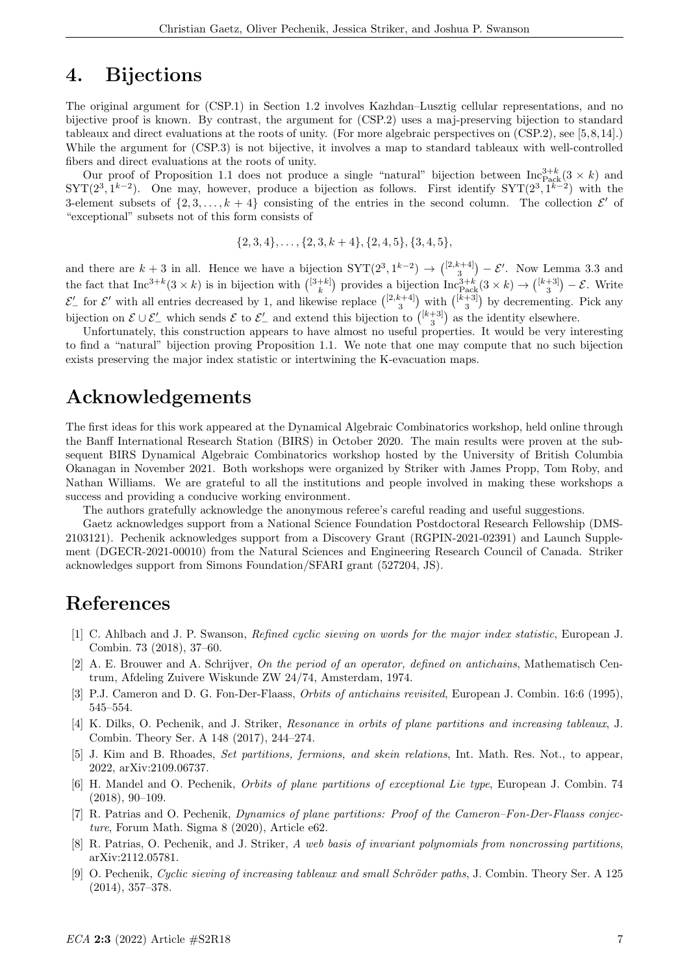## 4. Bijections

The original argument for (CSP.1) in Section 1.2 involves Kazhdan–Lusztig cellular representations, and no bijective proof is known. By contrast, the argument for (CSP.2) uses a maj-preserving bijection to standard tableaux and direct evaluations at the roots of unity. (For more algebraic perspectives on (CSP.2), see [5,8,14].) While the argument for (CSP.3) is not bijective, it involves a map to standard tableaux with well-controlled fibers and direct evaluations at the roots of unity.

Our proof of Proposition 1.1 does not produce a single "natural" bijection between  $\text{Inc}_{\text{Pack}}^{3+k}(3 \times k)$  and  $STT(2^3, 1^{k-2})$ . One may, however, produce a bijection as follows. First identify  $STT(2^3, 1^{k-2})$  with the 3-element subsets of  $\{2, 3, \ldots, k+4\}$  consisting of the entries in the second column. The collection  $\mathcal{E}'$  of "exceptional" subsets not of this form consists of

$$
\{2,3,4\},\ldots,\{2,3,k+4\},\{2,4,5\},\{3,4,5\},\
$$

and there are  $k+3$  in all. Hence we have a bijection  $SYT(2^3, 1^{k-2}) \rightarrow {\binom{[2,k+4]}{3}} - \mathcal{E}'$ . Now Lemma 3.3 and the fact that  $\text{Inc}^{3+k}(3 \times k)$  is in bijection with  $\binom{[3+k]}{k}$  provides a bijection  $\text{Inc}_{\text{Pack}}^{3+k}(3 \times k) \to \binom{[k+3]}{3} - \mathcal{E}$ . Write  $\mathcal{E}'_-$  for  $\mathcal{E}'$  with all entries decreased by 1, and likewise replace  $\binom{[2,k+4]}{3}$  with  $\binom{[k+3]}{3}$  by decrementing. Pick any bijection on  $\mathcal{E} \cup \mathcal{E}'_-$  which sends  $\mathcal{E}$  to  $\mathcal{E}'_-$  and extend this bijection to  $\binom{[k+3]}{3}$  as the identity elsewhere.

Unfortunately, this construction appears to have almost no useful properties. It would be very interesting to find a "natural" bijection proving Proposition 1.1. We note that one may compute that no such bijection exists preserving the major index statistic or intertwining the K-evacuation maps.

## Acknowledgements

The first ideas for this work appeared at the Dynamical Algebraic Combinatorics workshop, held online through the Banff International Research Station (BIRS) in October 2020. The main results were proven at the subsequent BIRS Dynamical Algebraic Combinatorics workshop hosted by the University of British Columbia Okanagan in November 2021. Both workshops were organized by Striker with James Propp, Tom Roby, and Nathan Williams. We are grateful to all the institutions and people involved in making these workshops a success and providing a conducive working environment.

The authors gratefully acknowledge the anonymous referee's careful reading and useful suggestions.

Gaetz acknowledges support from a National Science Foundation Postdoctoral Research Fellowship (DMS-2103121). Pechenik acknowledges support from a Discovery Grant (RGPIN-2021-02391) and Launch Supplement (DGECR-2021-00010) from the Natural Sciences and Engineering Research Council of Canada. Striker acknowledges support from Simons Foundation/SFARI grant (527204, JS).

# References

- [1] C. Ahlbach and J. P. Swanson, Refined cyclic sieving on words for the major index statistic, European J. Combin. 73 (2018), 37–60.
- [2] A. E. Brouwer and A. Schrijver, On the period of an operator, defined on antichains, Mathematisch Centrum, Afdeling Zuivere Wiskunde ZW 24/74, Amsterdam, 1974.
- [3] P.J. Cameron and D. G. Fon-Der-Flaass, Orbits of antichains revisited, European J. Combin. 16:6 (1995), 545–554.
- [4] K. Dilks, O. Pechenik, and J. Striker, Resonance in orbits of plane partitions and increasing tableaux, J. Combin. Theory Ser. A 148 (2017), 244–274.
- [5] J. Kim and B. Rhoades, Set partitions, fermions, and skein relations, Int. Math. Res. Not., to appear, 2022, arXiv:2109.06737.
- [6] H. Mandel and O. Pechenik, Orbits of plane partitions of exceptional Lie type, European J. Combin. 74 (2018), 90–109.
- [7] R. Patrias and O. Pechenik, Dynamics of plane partitions: Proof of the Cameron–Fon-Der-Flaass conjecture, Forum Math. Sigma 8 (2020), Article e62.
- [8] R. Patrias, O. Pechenik, and J. Striker, A web basis of invariant polynomials from noncrossing partitions, arXiv:2112.05781.
- [9] O. Pechenik, Cyclic sieving of increasing tableaux and small Schröder paths, J. Combin. Theory Ser. A 125 (2014), 357–378.